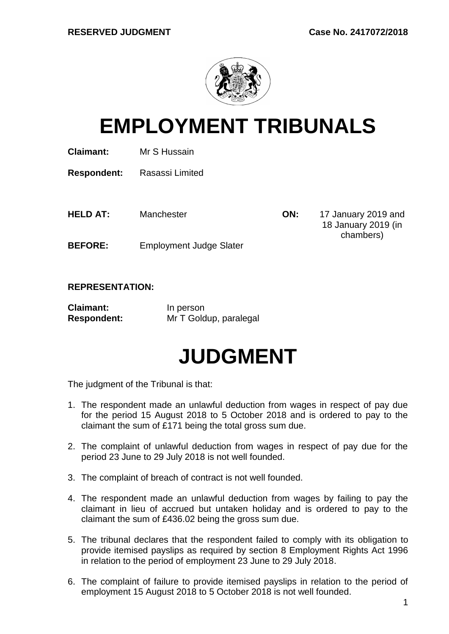

# **EMPLOYMENT TRIBUNALS**

**Claimant:** Mr S Hussain

**Respondent:** Rasassi Limited

**HELD AT:** Manchester **ON:** 17 January 2019 and

18 January 2019 (in chambers)

**BEFORE:** Employment Judge Slater

#### **REPRESENTATION:**

| <b>Claimant:</b>   | In person              |
|--------------------|------------------------|
| <b>Respondent:</b> | Mr T Goldup, paralegal |

## **JUDGMENT**

The judgment of the Tribunal is that:

- 1. The respondent made an unlawful deduction from wages in respect of pay due for the period 15 August 2018 to 5 October 2018 and is ordered to pay to the claimant the sum of £171 being the total gross sum due.
- 2. The complaint of unlawful deduction from wages in respect of pay due for the period 23 June to 29 July 2018 is not well founded.
- 3. The complaint of breach of contract is not well founded.
- 4. The respondent made an unlawful deduction from wages by failing to pay the claimant in lieu of accrued but untaken holiday and is ordered to pay to the claimant the sum of £436.02 being the gross sum due.
- 5. The tribunal declares that the respondent failed to comply with its obligation to provide itemised payslips as required by section 8 Employment Rights Act 1996 in relation to the period of employment 23 June to 29 July 2018.
- 6. The complaint of failure to provide itemised payslips in relation to the period of employment 15 August 2018 to 5 October 2018 is not well founded.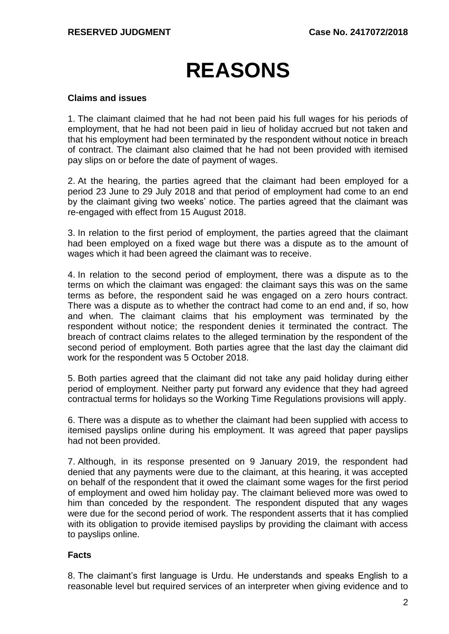# **REASONS**

#### **Claims and issues**

1. The claimant claimed that he had not been paid his full wages for his periods of employment, that he had not been paid in lieu of holiday accrued but not taken and that his employment had been terminated by the respondent without notice in breach of contract. The claimant also claimed that he had not been provided with itemised pay slips on or before the date of payment of wages.

2. At the hearing, the parties agreed that the claimant had been employed for a period 23 June to 29 July 2018 and that period of employment had come to an end by the claimant giving two weeks' notice. The parties agreed that the claimant was re-engaged with effect from 15 August 2018.

3. In relation to the first period of employment, the parties agreed that the claimant had been employed on a fixed wage but there was a dispute as to the amount of wages which it had been agreed the claimant was to receive.

4. In relation to the second period of employment, there was a dispute as to the terms on which the claimant was engaged: the claimant says this was on the same terms as before, the respondent said he was engaged on a zero hours contract. There was a dispute as to whether the contract had come to an end and, if so, how and when. The claimant claims that his employment was terminated by the respondent without notice; the respondent denies it terminated the contract. The breach of contract claims relates to the alleged termination by the respondent of the second period of employment. Both parties agree that the last day the claimant did work for the respondent was 5 October 2018.

5. Both parties agreed that the claimant did not take any paid holiday during either period of employment. Neither party put forward any evidence that they had agreed contractual terms for holidays so the Working Time Regulations provisions will apply.

6. There was a dispute as to whether the claimant had been supplied with access to itemised payslips online during his employment. It was agreed that paper payslips had not been provided.

7. Although, in its response presented on 9 January 2019, the respondent had denied that any payments were due to the claimant, at this hearing, it was accepted on behalf of the respondent that it owed the claimant some wages for the first period of employment and owed him holiday pay. The claimant believed more was owed to him than conceded by the respondent. The respondent disputed that any wages were due for the second period of work. The respondent asserts that it has complied with its obligation to provide itemised payslips by providing the claimant with access to payslips online.

#### **Facts**

8. The claimant's first language is Urdu. He understands and speaks English to a reasonable level but required services of an interpreter when giving evidence and to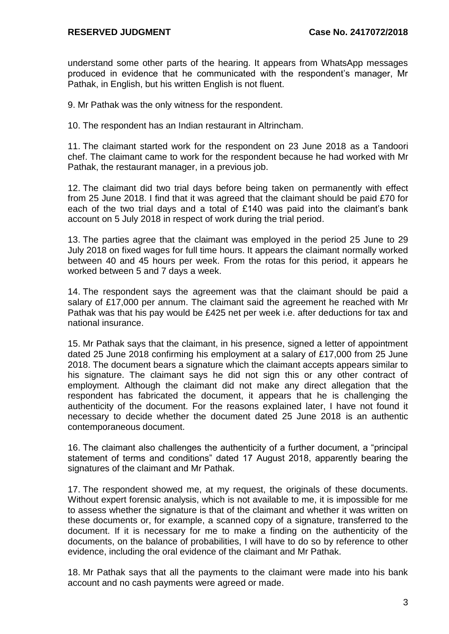understand some other parts of the hearing. It appears from WhatsApp messages produced in evidence that he communicated with the respondent's manager, Mr Pathak, in English, but his written English is not fluent.

9. Mr Pathak was the only witness for the respondent.

10. The respondent has an Indian restaurant in Altrincham.

11. The claimant started work for the respondent on 23 June 2018 as a Tandoori chef. The claimant came to work for the respondent because he had worked with Mr Pathak, the restaurant manager, in a previous job.

12. The claimant did two trial days before being taken on permanently with effect from 25 June 2018. I find that it was agreed that the claimant should be paid £70 for each of the two trial days and a total of £140 was paid into the claimant's bank account on 5 July 2018 in respect of work during the trial period.

13. The parties agree that the claimant was employed in the period 25 June to 29 July 2018 on fixed wages for full time hours. It appears the claimant normally worked between 40 and 45 hours per week. From the rotas for this period, it appears he worked between 5 and 7 days a week.

14. The respondent says the agreement was that the claimant should be paid a salary of £17,000 per annum. The claimant said the agreement he reached with Mr Pathak was that his pay would be £425 net per week i.e. after deductions for tax and national insurance.

15. Mr Pathak says that the claimant, in his presence, signed a letter of appointment dated 25 June 2018 confirming his employment at a salary of £17,000 from 25 June 2018. The document bears a signature which the claimant accepts appears similar to his signature. The claimant says he did not sign this or any other contract of employment. Although the claimant did not make any direct allegation that the respondent has fabricated the document, it appears that he is challenging the authenticity of the document. For the reasons explained later, I have not found it necessary to decide whether the document dated 25 June 2018 is an authentic contemporaneous document.

16. The claimant also challenges the authenticity of a further document, a "principal statement of terms and conditions" dated 17 August 2018, apparently bearing the signatures of the claimant and Mr Pathak.

17. The respondent showed me, at my request, the originals of these documents. Without expert forensic analysis, which is not available to me, it is impossible for me to assess whether the signature is that of the claimant and whether it was written on these documents or, for example, a scanned copy of a signature, transferred to the document. If it is necessary for me to make a finding on the authenticity of the documents, on the balance of probabilities, I will have to do so by reference to other evidence, including the oral evidence of the claimant and Mr Pathak.

18. Mr Pathak says that all the payments to the claimant were made into his bank account and no cash payments were agreed or made.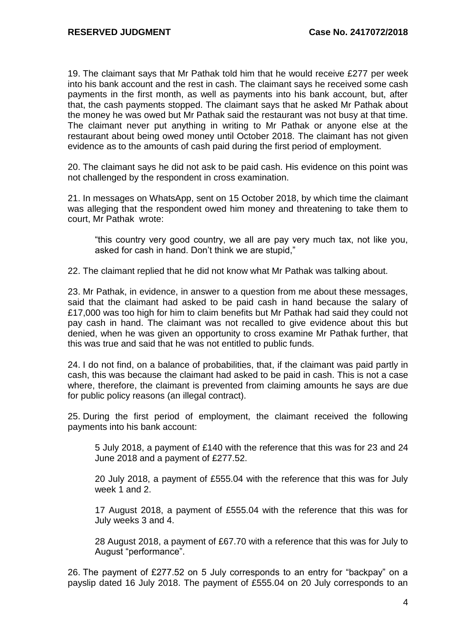19. The claimant says that Mr Pathak told him that he would receive £277 per week into his bank account and the rest in cash. The claimant says he received some cash payments in the first month, as well as payments into his bank account, but, after that, the cash payments stopped. The claimant says that he asked Mr Pathak about the money he was owed but Mr Pathak said the restaurant was not busy at that time. The claimant never put anything in writing to Mr Pathak or anyone else at the restaurant about being owed money until October 2018. The claimant has not given evidence as to the amounts of cash paid during the first period of employment.

20. The claimant says he did not ask to be paid cash. His evidence on this point was not challenged by the respondent in cross examination.

21. In messages on WhatsApp, sent on 15 October 2018, by which time the claimant was alleging that the respondent owed him money and threatening to take them to court, Mr Pathak wrote:

"this country very good country, we all are pay very much tax, not like you, asked for cash in hand. Don't think we are stupid,"

22. The claimant replied that he did not know what Mr Pathak was talking about.

23. Mr Pathak, in evidence, in answer to a question from me about these messages, said that the claimant had asked to be paid cash in hand because the salary of £17,000 was too high for him to claim benefits but Mr Pathak had said they could not pay cash in hand. The claimant was not recalled to give evidence about this but denied, when he was given an opportunity to cross examine Mr Pathak further, that this was true and said that he was not entitled to public funds.

24. I do not find, on a balance of probabilities, that, if the claimant was paid partly in cash, this was because the claimant had asked to be paid in cash. This is not a case where, therefore, the claimant is prevented from claiming amounts he says are due for public policy reasons (an illegal contract).

25. During the first period of employment, the claimant received the following payments into his bank account:

5 July 2018, a payment of £140 with the reference that this was for 23 and 24 June 2018 and a payment of £277.52.

20 July 2018, a payment of £555.04 with the reference that this was for July week 1 and 2.

17 August 2018, a payment of £555.04 with the reference that this was for July weeks 3 and 4.

28 August 2018, a payment of £67.70 with a reference that this was for July to August "performance".

26. The payment of £277.52 on 5 July corresponds to an entry for "backpay" on a payslip dated 16 July 2018. The payment of £555.04 on 20 July corresponds to an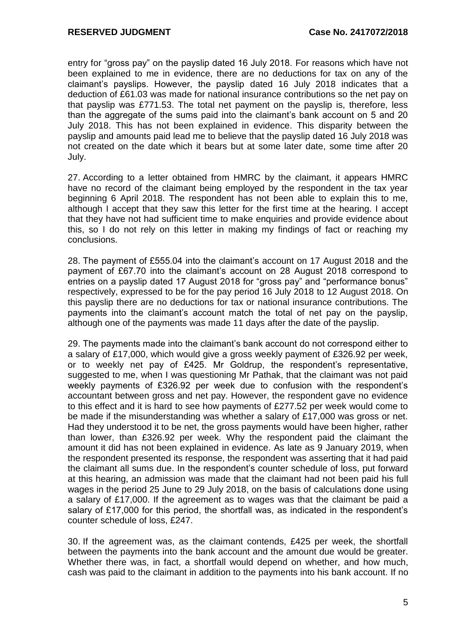entry for "gross pay" on the payslip dated 16 July 2018. For reasons which have not been explained to me in evidence, there are no deductions for tax on any of the claimant's payslips. However, the payslip dated 16 July 2018 indicates that a deduction of £61.03 was made for national insurance contributions so the net pay on that payslip was £771.53. The total net payment on the payslip is, therefore, less than the aggregate of the sums paid into the claimant's bank account on 5 and 20 July 2018. This has not been explained in evidence. This disparity between the payslip and amounts paid lead me to believe that the payslip dated 16 July 2018 was not created on the date which it bears but at some later date, some time after 20 July.

27. According to a letter obtained from HMRC by the claimant, it appears HMRC have no record of the claimant being employed by the respondent in the tax year beginning 6 April 2018. The respondent has not been able to explain this to me, although I accept that they saw this letter for the first time at the hearing. I accept that they have not had sufficient time to make enquiries and provide evidence about this, so I do not rely on this letter in making my findings of fact or reaching my conclusions.

28. The payment of £555.04 into the claimant's account on 17 August 2018 and the payment of £67.70 into the claimant's account on 28 August 2018 correspond to entries on a payslip dated 17 August 2018 for "gross pay" and "performance bonus" respectively, expressed to be for the pay period 16 July 2018 to 12 August 2018. On this payslip there are no deductions for tax or national insurance contributions. The payments into the claimant's account match the total of net pay on the payslip, although one of the payments was made 11 days after the date of the payslip.

29. The payments made into the claimant's bank account do not correspond either to a salary of £17,000, which would give a gross weekly payment of £326.92 per week, or to weekly net pay of £425. Mr Goldrup, the respondent's representative, suggested to me, when I was questioning Mr Pathak, that the claimant was not paid weekly payments of £326.92 per week due to confusion with the respondent's accountant between gross and net pay. However, the respondent gave no evidence to this effect and it is hard to see how payments of £277.52 per week would come to be made if the misunderstanding was whether a salary of £17,000 was gross or net. Had they understood it to be net, the gross payments would have been higher, rather than lower, than £326.92 per week. Why the respondent paid the claimant the amount it did has not been explained in evidence. As late as 9 January 2019, when the respondent presented its response, the respondent was asserting that it had paid the claimant all sums due. In the respondent's counter schedule of loss, put forward at this hearing, an admission was made that the claimant had not been paid his full wages in the period 25 June to 29 July 2018, on the basis of calculations done using a salary of £17,000. If the agreement as to wages was that the claimant be paid a salary of £17,000 for this period, the shortfall was, as indicated in the respondent's counter schedule of loss, £247.

30. If the agreement was, as the claimant contends, £425 per week, the shortfall between the payments into the bank account and the amount due would be greater. Whether there was, in fact, a shortfall would depend on whether, and how much, cash was paid to the claimant in addition to the payments into his bank account. If no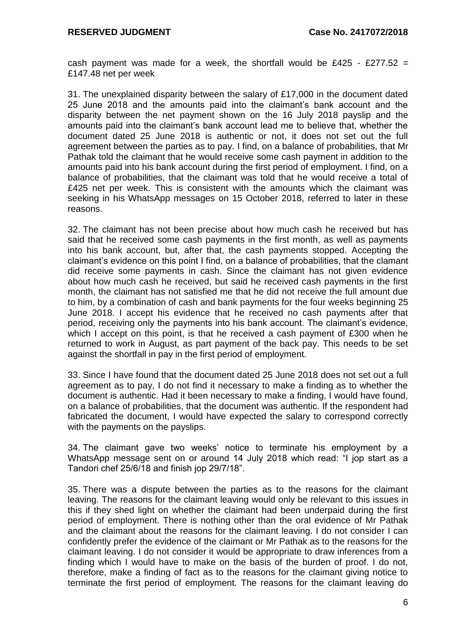cash payment was made for a week, the shortfall would be £425 - £277.52 = £147.48 net per week

31. The unexplained disparity between the salary of £17,000 in the document dated 25 June 2018 and the amounts paid into the claimant's bank account and the disparity between the net payment shown on the 16 July 2018 payslip and the amounts paid into the claimant's bank account lead me to believe that, whether the document dated 25 June 2018 is authentic or not, it does not set out the full agreement between the parties as to pay. I find, on a balance of probabilities, that Mr Pathak told the claimant that he would receive some cash payment in addition to the amounts paid into his bank account during the first period of employment. I find, on a balance of probabilities, that the claimant was told that he would receive a total of £425 net per week. This is consistent with the amounts which the claimant was seeking in his WhatsApp messages on 15 October 2018, referred to later in these reasons.

32. The claimant has not been precise about how much cash he received but has said that he received some cash payments in the first month, as well as payments into his bank account, but, after that, the cash payments stopped. Accepting the claimant's evidence on this point I find, on a balance of probabilities, that the clamant did receive some payments in cash. Since the claimant has not given evidence about how much cash he received, but said he received cash payments in the first month, the claimant has not satisfied me that he did not receive the full amount due to him, by a combination of cash and bank payments for the four weeks beginning 25 June 2018. I accept his evidence that he received no cash payments after that period, receiving only the payments into his bank account. The claimant's evidence, which I accept on this point, is that he received a cash payment of £300 when he returned to work in August, as part payment of the back pay. This needs to be set against the shortfall in pay in the first period of employment.

33. Since I have found that the document dated 25 June 2018 does not set out a full agreement as to pay, I do not find it necessary to make a finding as to whether the document is authentic. Had it been necessary to make a finding, I would have found, on a balance of probabilities, that the document was authentic. If the respondent had fabricated the document, I would have expected the salary to correspond correctly with the payments on the payslips.

34. The claimant gave two weeks' notice to terminate his employment by a WhatsApp message sent on or around 14 July 2018 which read: "I jop start as a Tandori chef 25/6/18 and finish jop 29/7/18".

35. There was a dispute between the parties as to the reasons for the claimant leaving. The reasons for the claimant leaving would only be relevant to this issues in this if they shed light on whether the claimant had been underpaid during the first period of employment. There is nothing other than the oral evidence of Mr Pathak and the claimant about the reasons for the claimant leaving. I do not consider I can confidently prefer the evidence of the claimant or Mr Pathak as to the reasons for the claimant leaving. I do not consider it would be appropriate to draw inferences from a finding which I would have to make on the basis of the burden of proof. I do not, therefore, make a finding of fact as to the reasons for the claimant giving notice to terminate the first period of employment. The reasons for the claimant leaving do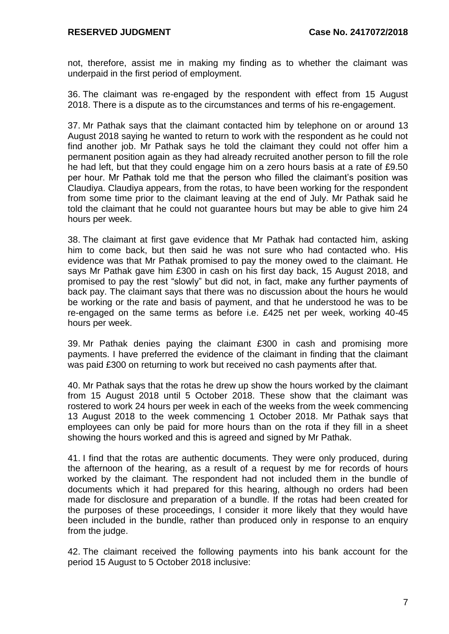not, therefore, assist me in making my finding as to whether the claimant was underpaid in the first period of employment.

36. The claimant was re-engaged by the respondent with effect from 15 August 2018. There is a dispute as to the circumstances and terms of his re-engagement.

37. Mr Pathak says that the claimant contacted him by telephone on or around 13 August 2018 saying he wanted to return to work with the respondent as he could not find another job. Mr Pathak says he told the claimant they could not offer him a permanent position again as they had already recruited another person to fill the role he had left, but that they could engage him on a zero hours basis at a rate of £9.50 per hour. Mr Pathak told me that the person who filled the claimant's position was Claudiya. Claudiya appears, from the rotas, to have been working for the respondent from some time prior to the claimant leaving at the end of July. Mr Pathak said he told the claimant that he could not guarantee hours but may be able to give him 24 hours per week.

38. The claimant at first gave evidence that Mr Pathak had contacted him, asking him to come back, but then said he was not sure who had contacted who. His evidence was that Mr Pathak promised to pay the money owed to the claimant. He says Mr Pathak gave him £300 in cash on his first day back, 15 August 2018, and promised to pay the rest "slowly" but did not, in fact, make any further payments of back pay. The claimant says that there was no discussion about the hours he would be working or the rate and basis of payment, and that he understood he was to be re-engaged on the same terms as before i.e. £425 net per week, working 40-45 hours per week.

39. Mr Pathak denies paying the claimant £300 in cash and promising more payments. I have preferred the evidence of the claimant in finding that the claimant was paid £300 on returning to work but received no cash payments after that.

40. Mr Pathak says that the rotas he drew up show the hours worked by the claimant from 15 August 2018 until 5 October 2018. These show that the claimant was rostered to work 24 hours per week in each of the weeks from the week commencing 13 August 2018 to the week commencing 1 October 2018. Mr Pathak says that employees can only be paid for more hours than on the rota if they fill in a sheet showing the hours worked and this is agreed and signed by Mr Pathak.

41. I find that the rotas are authentic documents. They were only produced, during the afternoon of the hearing, as a result of a request by me for records of hours worked by the claimant. The respondent had not included them in the bundle of documents which it had prepared for this hearing, although no orders had been made for disclosure and preparation of a bundle. If the rotas had been created for the purposes of these proceedings, I consider it more likely that they would have been included in the bundle, rather than produced only in response to an enquiry from the judge.

42. The claimant received the following payments into his bank account for the period 15 August to 5 October 2018 inclusive: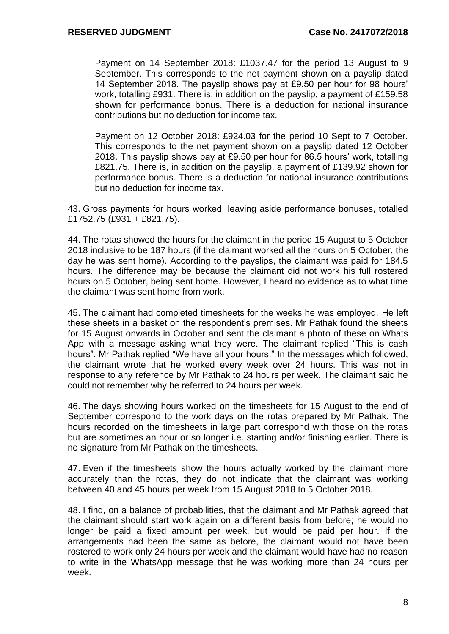Payment on 14 September 2018: £1037.47 for the period 13 August to 9 September. This corresponds to the net payment shown on a payslip dated 14 September 2018. The payslip shows pay at £9.50 per hour for 98 hours' work, totalling £931. There is, in addition on the payslip, a payment of £159.58 shown for performance bonus. There is a deduction for national insurance contributions but no deduction for income tax.

Payment on 12 October 2018: £924.03 for the period 10 Sept to 7 October. This corresponds to the net payment shown on a payslip dated 12 October 2018. This payslip shows pay at £9.50 per hour for 86.5 hours' work, totalling £821.75. There is, in addition on the payslip, a payment of £139.92 shown for performance bonus. There is a deduction for national insurance contributions but no deduction for income tax.

43. Gross payments for hours worked, leaving aside performance bonuses, totalled £1752.75 (£931 + £821.75).

44. The rotas showed the hours for the claimant in the period 15 August to 5 October 2018 inclusive to be 187 hours (if the claimant worked all the hours on 5 October, the day he was sent home). According to the payslips, the claimant was paid for 184.5 hours. The difference may be because the claimant did not work his full rostered hours on 5 October, being sent home. However, I heard no evidence as to what time the claimant was sent home from work.

45. The claimant had completed timesheets for the weeks he was employed. He left these sheets in a basket on the respondent's premises. Mr Pathak found the sheets for 15 August onwards in October and sent the claimant a photo of these on Whats App with a message asking what they were. The claimant replied "This is cash hours". Mr Pathak replied "We have all your hours." In the messages which followed, the claimant wrote that he worked every week over 24 hours. This was not in response to any reference by Mr Pathak to 24 hours per week. The claimant said he could not remember why he referred to 24 hours per week.

46. The days showing hours worked on the timesheets for 15 August to the end of September correspond to the work days on the rotas prepared by Mr Pathak. The hours recorded on the timesheets in large part correspond with those on the rotas but are sometimes an hour or so longer i.e. starting and/or finishing earlier. There is no signature from Mr Pathak on the timesheets.

47. Even if the timesheets show the hours actually worked by the claimant more accurately than the rotas, they do not indicate that the claimant was working between 40 and 45 hours per week from 15 August 2018 to 5 October 2018.

48. I find, on a balance of probabilities, that the claimant and Mr Pathak agreed that the claimant should start work again on a different basis from before; he would no longer be paid a fixed amount per week, but would be paid per hour. If the arrangements had been the same as before, the claimant would not have been rostered to work only 24 hours per week and the claimant would have had no reason to write in the WhatsApp message that he was working more than 24 hours per week.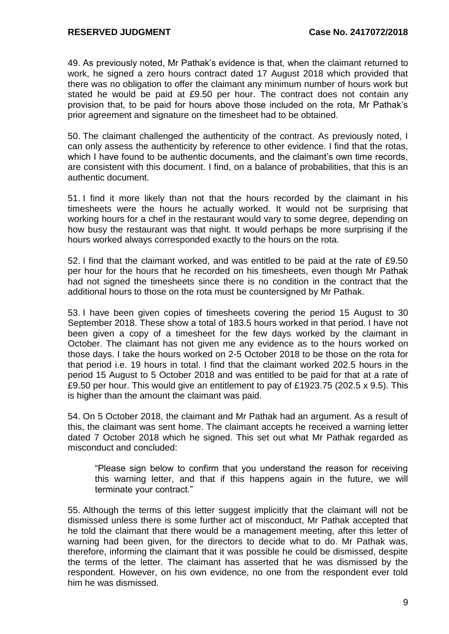49. As previously noted, Mr Pathak's evidence is that, when the claimant returned to work, he signed a zero hours contract dated 17 August 2018 which provided that there was no obligation to offer the claimant any minimum number of hours work but stated he would be paid at £9.50 per hour. The contract does not contain any provision that, to be paid for hours above those included on the rota, Mr Pathak's prior agreement and signature on the timesheet had to be obtained.

50. The claimant challenged the authenticity of the contract. As previously noted, I can only assess the authenticity by reference to other evidence. I find that the rotas, which I have found to be authentic documents, and the claimant's own time records, are consistent with this document. I find, on a balance of probabilities, that this is an authentic document.

51. I find it more likely than not that the hours recorded by the claimant in his timesheets were the hours he actually worked. It would not be surprising that working hours for a chef in the restaurant would vary to some degree, depending on how busy the restaurant was that night. It would perhaps be more surprising if the hours worked always corresponded exactly to the hours on the rota.

52. I find that the claimant worked, and was entitled to be paid at the rate of £9.50 per hour for the hours that he recorded on his timesheets, even though Mr Pathak had not signed the timesheets since there is no condition in the contract that the additional hours to those on the rota must be countersigned by Mr Pathak.

53. I have been given copies of timesheets covering the period 15 August to 30 September 2018. These show a total of 183.5 hours worked in that period. I have not been given a copy of a timesheet for the few days worked by the claimant in October. The claimant has not given me any evidence as to the hours worked on those days. I take the hours worked on 2-5 October 2018 to be those on the rota for that period i.e. 19 hours in total. I find that the claimant worked 202.5 hours in the period 15 August to 5 October 2018 and was entitled to be paid for that at a rate of £9.50 per hour. This would give an entitlement to pay of £1923.75 (202.5 x 9.5). This is higher than the amount the claimant was paid.

54. On 5 October 2018, the claimant and Mr Pathak had an argument. As a result of this, the claimant was sent home. The claimant accepts he received a warning letter dated 7 October 2018 which he signed. This set out what Mr Pathak regarded as misconduct and concluded:

"Please sign below to confirm that you understand the reason for receiving this warning letter, and that if this happens again in the future, we will terminate your contract."

55. Although the terms of this letter suggest implicitly that the claimant will not be dismissed unless there is some further act of misconduct, Mr Pathak accepted that he told the claimant that there would be a management meeting, after this letter of warning had been given, for the directors to decide what to do. Mr Pathak was, therefore, informing the claimant that it was possible he could be dismissed, despite the terms of the letter. The claimant has asserted that he was dismissed by the respondent. However, on his own evidence, no one from the respondent ever told him he was dismissed.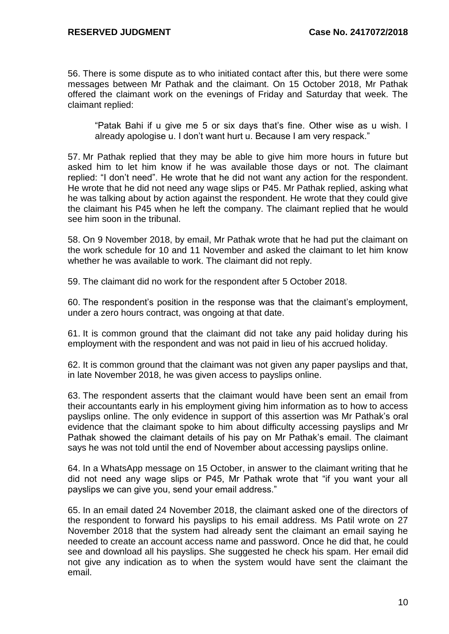56. There is some dispute as to who initiated contact after this, but there were some messages between Mr Pathak and the claimant. On 15 October 2018, Mr Pathak offered the claimant work on the evenings of Friday and Saturday that week. The claimant replied:

"Patak Bahi if u give me 5 or six days that's fine. Other wise as u wish. I already apologise u. I don't want hurt u. Because I am very respack."

57. Mr Pathak replied that they may be able to give him more hours in future but asked him to let him know if he was available those days or not. The claimant replied: "I don't need". He wrote that he did not want any action for the respondent. He wrote that he did not need any wage slips or P45. Mr Pathak replied, asking what he was talking about by action against the respondent. He wrote that they could give the claimant his P45 when he left the company. The claimant replied that he would see him soon in the tribunal.

58. On 9 November 2018, by email, Mr Pathak wrote that he had put the claimant on the work schedule for 10 and 11 November and asked the claimant to let him know whether he was available to work. The claimant did not reply.

59. The claimant did no work for the respondent after 5 October 2018.

60. The respondent's position in the response was that the claimant's employment, under a zero hours contract, was ongoing at that date.

61. It is common ground that the claimant did not take any paid holiday during his employment with the respondent and was not paid in lieu of his accrued holiday.

62. It is common ground that the claimant was not given any paper payslips and that, in late November 2018, he was given access to payslips online.

63. The respondent asserts that the claimant would have been sent an email from their accountants early in his employment giving him information as to how to access payslips online. The only evidence in support of this assertion was Mr Pathak's oral evidence that the claimant spoke to him about difficulty accessing payslips and Mr Pathak showed the claimant details of his pay on Mr Pathak's email. The claimant says he was not told until the end of November about accessing payslips online.

64. In a WhatsApp message on 15 October, in answer to the claimant writing that he did not need any wage slips or P45, Mr Pathak wrote that "if you want your all payslips we can give you, send your email address."

65. In an email dated 24 November 2018, the claimant asked one of the directors of the respondent to forward his payslips to his email address. Ms Patil wrote on 27 November 2018 that the system had already sent the claimant an email saying he needed to create an account access name and password. Once he did that, he could see and download all his payslips. She suggested he check his spam. Her email did not give any indication as to when the system would have sent the claimant the email.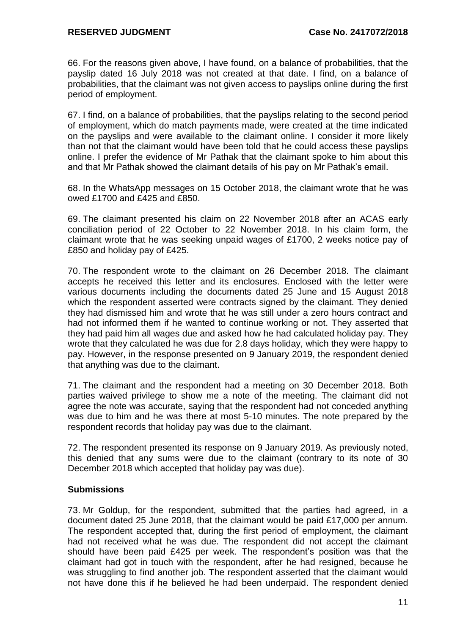66. For the reasons given above, I have found, on a balance of probabilities, that the payslip dated 16 July 2018 was not created at that date. I find, on a balance of probabilities, that the claimant was not given access to payslips online during the first period of employment.

67. I find, on a balance of probabilities, that the payslips relating to the second period of employment, which do match payments made, were created at the time indicated on the payslips and were available to the claimant online. I consider it more likely than not that the claimant would have been told that he could access these payslips online. I prefer the evidence of Mr Pathak that the claimant spoke to him about this and that Mr Pathak showed the claimant details of his pay on Mr Pathak's email.

68. In the WhatsApp messages on 15 October 2018, the claimant wrote that he was owed £1700 and £425 and £850.

69. The claimant presented his claim on 22 November 2018 after an ACAS early conciliation period of 22 October to 22 November 2018. In his claim form, the claimant wrote that he was seeking unpaid wages of £1700, 2 weeks notice pay of £850 and holiday pay of £425.

70. The respondent wrote to the claimant on 26 December 2018. The claimant accepts he received this letter and its enclosures. Enclosed with the letter were various documents including the documents dated 25 June and 15 August 2018 which the respondent asserted were contracts signed by the claimant. They denied they had dismissed him and wrote that he was still under a zero hours contract and had not informed them if he wanted to continue working or not. They asserted that they had paid him all wages due and asked how he had calculated holiday pay. They wrote that they calculated he was due for 2.8 days holiday, which they were happy to pay. However, in the response presented on 9 January 2019, the respondent denied that anything was due to the claimant.

71. The claimant and the respondent had a meeting on 30 December 2018. Both parties waived privilege to show me a note of the meeting. The claimant did not agree the note was accurate, saying that the respondent had not conceded anything was due to him and he was there at most 5-10 minutes. The note prepared by the respondent records that holiday pay was due to the claimant.

72. The respondent presented its response on 9 January 2019. As previously noted, this denied that any sums were due to the claimant (contrary to its note of 30 December 2018 which accepted that holiday pay was due).

#### **Submissions**

73. Mr Goldup, for the respondent, submitted that the parties had agreed, in a document dated 25 June 2018, that the claimant would be paid £17,000 per annum. The respondent accepted that, during the first period of employment, the claimant had not received what he was due. The respondent did not accept the claimant should have been paid £425 per week. The respondent's position was that the claimant had got in touch with the respondent, after he had resigned, because he was struggling to find another job. The respondent asserted that the claimant would not have done this if he believed he had been underpaid. The respondent denied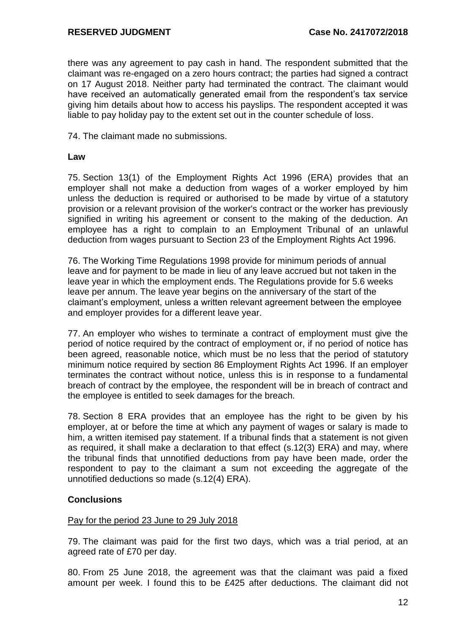there was any agreement to pay cash in hand. The respondent submitted that the claimant was re-engaged on a zero hours contract; the parties had signed a contract on 17 August 2018. Neither party had terminated the contract. The claimant would have received an automatically generated email from the respondent's tax service giving him details about how to access his payslips. The respondent accepted it was liable to pay holiday pay to the extent set out in the counter schedule of loss.

74. The claimant made no submissions.

#### **Law**

75. Section 13(1) of the Employment Rights Act 1996 (ERA) provides that an employer shall not make a deduction from wages of a worker employed by him unless the deduction is required or authorised to be made by virtue of a statutory provision or a relevant provision of the worker's contract or the worker has previously signified in writing his agreement or consent to the making of the deduction. An employee has a right to complain to an Employment Tribunal of an unlawful deduction from wages pursuant to Section 23 of the Employment Rights Act 1996.

76. The Working Time Regulations 1998 provide for minimum periods of annual leave and for payment to be made in lieu of any leave accrued but not taken in the leave year in which the employment ends. The Regulations provide for 5.6 weeks leave per annum. The leave year begins on the anniversary of the start of the claimant's employment, unless a written relevant agreement between the employee and employer provides for a different leave year.

77. An employer who wishes to terminate a contract of employment must give the period of notice required by the contract of employment or, if no period of notice has been agreed, reasonable notice, which must be no less that the period of statutory minimum notice required by section 86 Employment Rights Act 1996. If an employer terminates the contract without notice, unless this is in response to a fundamental breach of contract by the employee, the respondent will be in breach of contract and the employee is entitled to seek damages for the breach.

78. Section 8 ERA provides that an employee has the right to be given by his employer, at or before the time at which any payment of wages or salary is made to him, a written itemised pay statement. If a tribunal finds that a statement is not given as required, it shall make a declaration to that effect (s.12(3) ERA) and may, where the tribunal finds that unnotified deductions from pay have been made, order the respondent to pay to the claimant a sum not exceeding the aggregate of the unnotified deductions so made (s.12(4) ERA).

#### **Conclusions**

#### Pay for the period 23 June to 29 July 2018

79. The claimant was paid for the first two days, which was a trial period, at an agreed rate of £70 per day.

80. From 25 June 2018, the agreement was that the claimant was paid a fixed amount per week. I found this to be £425 after deductions. The claimant did not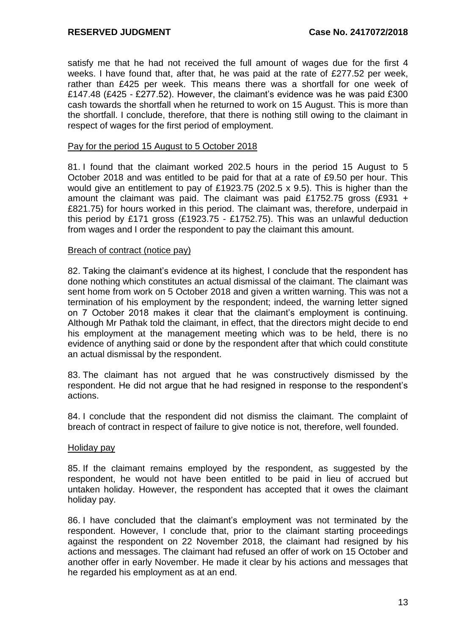satisfy me that he had not received the full amount of wages due for the first 4 weeks. I have found that, after that, he was paid at the rate of £277.52 per week, rather than £425 per week. This means there was a shortfall for one week of £147.48 (£425 - £277.52). However, the claimant's evidence was he was paid £300 cash towards the shortfall when he returned to work on 15 August. This is more than the shortfall. I conclude, therefore, that there is nothing still owing to the claimant in respect of wages for the first period of employment.

#### Pay for the period 15 August to 5 October 2018

81. I found that the claimant worked 202.5 hours in the period 15 August to 5 October 2018 and was entitled to be paid for that at a rate of £9.50 per hour. This would give an entitlement to pay of £1923.75 (202.5 x 9.5). This is higher than the amount the claimant was paid. The claimant was paid £1752.75 gross (£931 + £821.75) for hours worked in this period. The claimant was, therefore, underpaid in this period by £171 gross (£1923.75 - £1752.75). This was an unlawful deduction from wages and I order the respondent to pay the claimant this amount.

#### Breach of contract (notice pay)

82. Taking the claimant's evidence at its highest, I conclude that the respondent has done nothing which constitutes an actual dismissal of the claimant. The claimant was sent home from work on 5 October 2018 and given a written warning. This was not a termination of his employment by the respondent; indeed, the warning letter signed on 7 October 2018 makes it clear that the claimant's employment is continuing. Although Mr Pathak told the claimant, in effect, that the directors might decide to end his employment at the management meeting which was to be held, there is no evidence of anything said or done by the respondent after that which could constitute an actual dismissal by the respondent.

83. The claimant has not argued that he was constructively dismissed by the respondent. He did not argue that he had resigned in response to the respondent's actions.

84. I conclude that the respondent did not dismiss the claimant. The complaint of breach of contract in respect of failure to give notice is not, therefore, well founded.

#### Holiday pay

85. If the claimant remains employed by the respondent, as suggested by the respondent, he would not have been entitled to be paid in lieu of accrued but untaken holiday. However, the respondent has accepted that it owes the claimant holiday pay.

86. I have concluded that the claimant's employment was not terminated by the respondent. However, I conclude that, prior to the claimant starting proceedings against the respondent on 22 November 2018, the claimant had resigned by his actions and messages. The claimant had refused an offer of work on 15 October and another offer in early November. He made it clear by his actions and messages that he regarded his employment as at an end.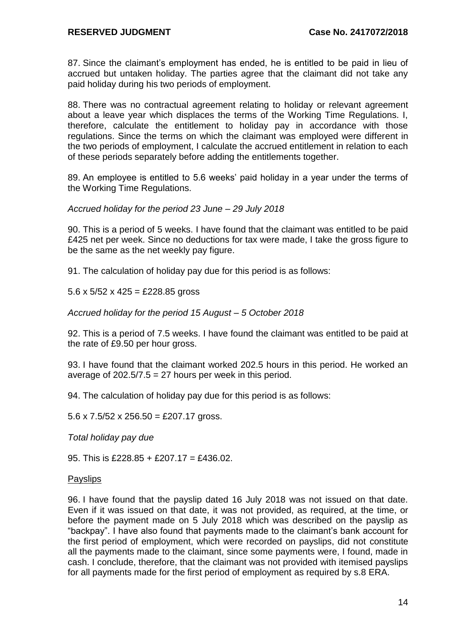87. Since the claimant's employment has ended, he is entitled to be paid in lieu of accrued but untaken holiday. The parties agree that the claimant did not take any paid holiday during his two periods of employment.

88. There was no contractual agreement relating to holiday or relevant agreement about a leave year which displaces the terms of the Working Time Regulations. I, therefore, calculate the entitlement to holiday pay in accordance with those regulations. Since the terms on which the claimant was employed were different in the two periods of employment, I calculate the accrued entitlement in relation to each of these periods separately before adding the entitlements together.

89. An employee is entitled to 5.6 weeks' paid holiday in a year under the terms of the Working Time Regulations.

*Accrued holiday for the period 23 June – 29 July 2018*

90. This is a period of 5 weeks. I have found that the claimant was entitled to be paid £425 net per week. Since no deductions for tax were made, I take the gross figure to be the same as the net weekly pay figure.

91. The calculation of holiday pay due for this period is as follows:

5.6 x  $5/52$  x  $425 = \text{\textsterling}228.85$  gross

*Accrued holiday for the period 15 August – 5 October 2018*

92. This is a period of 7.5 weeks. I have found the claimant was entitled to be paid at the rate of £9.50 per hour gross.

93. I have found that the claimant worked 202.5 hours in this period. He worked an average of  $202.5/7.5 = 27$  hours per week in this period.

94. The calculation of holiday pay due for this period is as follows:

5.6 x 7.5/52 x 256.50 = £207.17 gross.

*Total holiday pay due*

95. This is £228.85 + £207.17 = £436.02.

#### **Payslips**

96. I have found that the payslip dated 16 July 2018 was not issued on that date. Even if it was issued on that date, it was not provided, as required, at the time, or before the payment made on 5 July 2018 which was described on the payslip as "backpay". I have also found that payments made to the claimant's bank account for the first period of employment, which were recorded on payslips, did not constitute all the payments made to the claimant, since some payments were, I found, made in cash. I conclude, therefore, that the claimant was not provided with itemised payslips for all payments made for the first period of employment as required by s.8 ERA.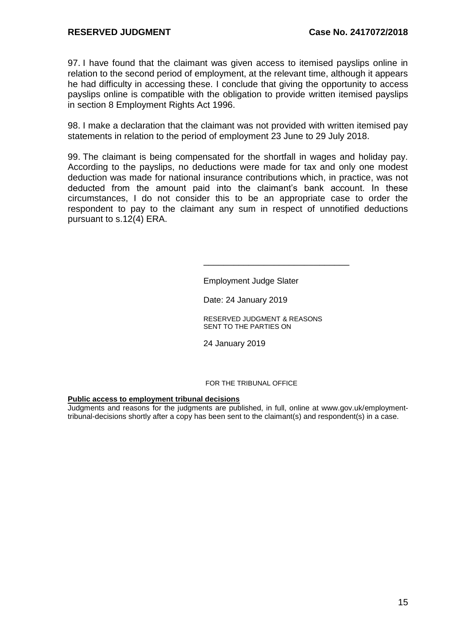#### **RESERVED JUDGMENT Case No. 2417072/2018**

97. I have found that the claimant was given access to itemised payslips online in relation to the second period of employment, at the relevant time, although it appears he had difficulty in accessing these. I conclude that giving the opportunity to access payslips online is compatible with the obligation to provide written itemised payslips in section 8 Employment Rights Act 1996.

98. I make a declaration that the claimant was not provided with written itemised pay statements in relation to the period of employment 23 June to 29 July 2018.

99. The claimant is being compensated for the shortfall in wages and holiday pay. According to the payslips, no deductions were made for tax and only one modest deduction was made for national insurance contributions which, in practice, was not deducted from the amount paid into the claimant's bank account. In these circumstances, I do not consider this to be an appropriate case to order the respondent to pay to the claimant any sum in respect of unnotified deductions pursuant to s.12(4) ERA.

Employment Judge Slater

Date: 24 January 2019

RESERVED JUDGMENT & REASONS SENT TO THE PARTIES ON

24 January 2019

 $\frac{1}{\sqrt{2}}$  ,  $\frac{1}{\sqrt{2}}$  ,  $\frac{1}{\sqrt{2}}$  ,  $\frac{1}{\sqrt{2}}$  ,  $\frac{1}{\sqrt{2}}$  ,  $\frac{1}{\sqrt{2}}$  ,  $\frac{1}{\sqrt{2}}$  ,  $\frac{1}{\sqrt{2}}$  ,  $\frac{1}{\sqrt{2}}$  ,  $\frac{1}{\sqrt{2}}$  ,  $\frac{1}{\sqrt{2}}$  ,  $\frac{1}{\sqrt{2}}$  ,  $\frac{1}{\sqrt{2}}$  ,  $\frac{1}{\sqrt{2}}$  ,  $\frac{1}{\sqrt{2}}$ 

FOR THE TRIBUNAL OFFICE

#### **Public access to employment tribunal decisions**

Judgments and reasons for the judgments are published, in full, online at www.gov.uk/employmenttribunal-decisions shortly after a copy has been sent to the claimant(s) and respondent(s) in a case.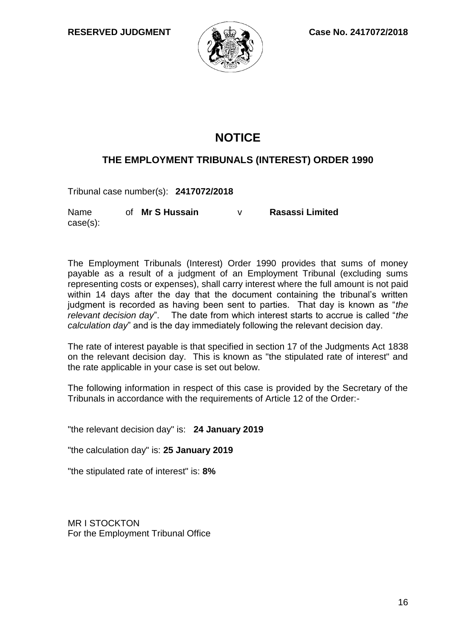

### **NOTICE**

### **THE EMPLOYMENT TRIBUNALS (INTEREST) ORDER 1990**

Tribunal case number(s): **2417072/2018**

Name of Mr S Hussain case(s): **Mr S Hussain** v **Rasassi Limited**

The Employment Tribunals (Interest) Order 1990 provides that sums of money payable as a result of a judgment of an Employment Tribunal (excluding sums representing costs or expenses), shall carry interest where the full amount is not paid within 14 days after the day that the document containing the tribunal's written judgment is recorded as having been sent to parties. That day is known as "*the relevant decision day*". The date from which interest starts to accrue is called "*the calculation day*" and is the day immediately following the relevant decision day.

The rate of interest payable is that specified in section 17 of the Judgments Act 1838 on the relevant decision day. This is known as "the stipulated rate of interest" and the rate applicable in your case is set out below.

The following information in respect of this case is provided by the Secretary of the Tribunals in accordance with the requirements of Article 12 of the Order:-

"the relevant decision day" is: **24 January 2019**

"the calculation day" is: **25 January 2019**

"the stipulated rate of interest" is: **8%**

MR I STOCKTON For the Employment Tribunal Office